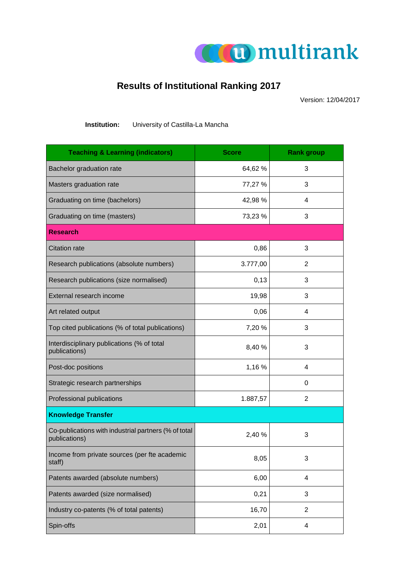

## **Results of Institutional Ranking 2017**

Version: 12/04/2017

**Institution:** University of Castilla-La Mancha

| <b>Teaching &amp; Learning (indicators)</b>                           | <b>Score</b> | <b>Rank group</b> |
|-----------------------------------------------------------------------|--------------|-------------------|
| Bachelor graduation rate                                              | 64,62 %      | 3                 |
| Masters graduation rate                                               | 77,27 %      | 3                 |
| Graduating on time (bachelors)                                        | 42,98 %      | 4                 |
| Graduating on time (masters)                                          | 73,23 %      | 3                 |
| <b>Research</b>                                                       |              |                   |
| <b>Citation rate</b>                                                  | 0,86         | 3                 |
| Research publications (absolute numbers)                              | 3.777,00     | 2                 |
| Research publications (size normalised)                               | 0,13         | 3                 |
| External research income                                              | 19,98        | 3                 |
| Art related output                                                    | 0,06         | 4                 |
| Top cited publications (% of total publications)                      | 7,20 %       | 3                 |
| Interdisciplinary publications (% of total<br>publications)           | 8,40 %       | 3                 |
| Post-doc positions                                                    | 1,16 %       | 4                 |
| Strategic research partnerships                                       |              | 0                 |
| Professional publications                                             | 1.887,57     | $\overline{2}$    |
| <b>Knowledge Transfer</b>                                             |              |                   |
| Co-publications with industrial partners (% of total<br>publications) | 2,40 %       | 3                 |
| Income from private sources (per fte academic<br>staff)               | 8,05         | 3                 |
| Patents awarded (absolute numbers)                                    | 6,00         | 4                 |
| Patents awarded (size normalised)                                     | 0,21         | 3                 |
| Industry co-patents (% of total patents)                              | 16,70        | $\overline{2}$    |
| Spin-offs                                                             | 2,01         | 4                 |